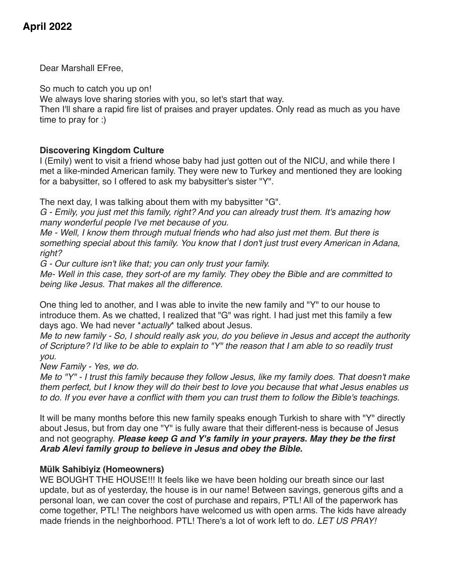# **April 2022**

Dear Marshall EFree,

So much to catch you up on!

We always love sharing stories with you, so let's start that way.

Then I'll share a rapid fire list of praises and prayer updates. Only read as much as you have time to pray for :)

# **Discovering Kingdom Culture**

I (Emily) went to visit a friend whose baby had just gotten out of the NICU, and while there I met a like-minded American family. They were new to Turkey and mentioned they are looking for a babysitter, so I offered to ask my babysitter's sister "Y".

The next day, I was talking about them with my babysitter "G".

*G - Emily, you just met this family, right? And you can already trust them. It's amazing how many wonderful people I've met because of you.*

*Me - Well, I know them through mutual friends who had also just met them. But there is something special about this family. You know that I don't just trust every American in Adana, right?*

*G - Our culture isn't like that; you can only trust your family.*

*Me- Well in this case, they sort-of are my family. They obey the Bible and are committed to being like Jesus. That makes all the difference.*

One thing led to another, and I was able to invite the new family and "Y" to our house to introduce them. As we chatted, I realized that "G" was right. I had just met this family a few days ago. We had never \**actually*\* talked about Jesus.

*Me to new family - So, I should really ask you, do you believe in Jesus and accept the authority of Scripture? I'd like to be able to explain to "Y" the reason that I am able to so readily trust you.*

*New Family - Yes, we do.*

*Me to "Y" - I trust this family because they follow Jesus, like my family does. That doesn't make them perfect, but I know they will do their best to love you because that what Jesus enables us to do. If you ever have a conflict with them you can trust them to follow the Bible's teachings.*

It will be many months before this new family speaks enough Turkish to share with "Y" directly about Jesus, but from day one "Y" is fully aware that their different-ness is because of Jesus and not geography. *Please keep G and Y's family in your prayers. May they be the first Arab Alevi family group to believe in Jesus and obey the Bible.*

# **Mülk Sahibiyiz (Homeowners)**

WE BOUGHT THE HOUSE!!! It feels like we have been holding our breath since our last update, but as of yesterday, the house is in our name! Between savings, generous gifts and a personal loan, we can cover the cost of purchase and repairs, PTL! All of the paperwork has come together, PTL! The neighbors have welcomed us with open arms. The kids have already made friends in the neighborhood. PTL! There's a lot of work left to do*. LET US PRAY!*